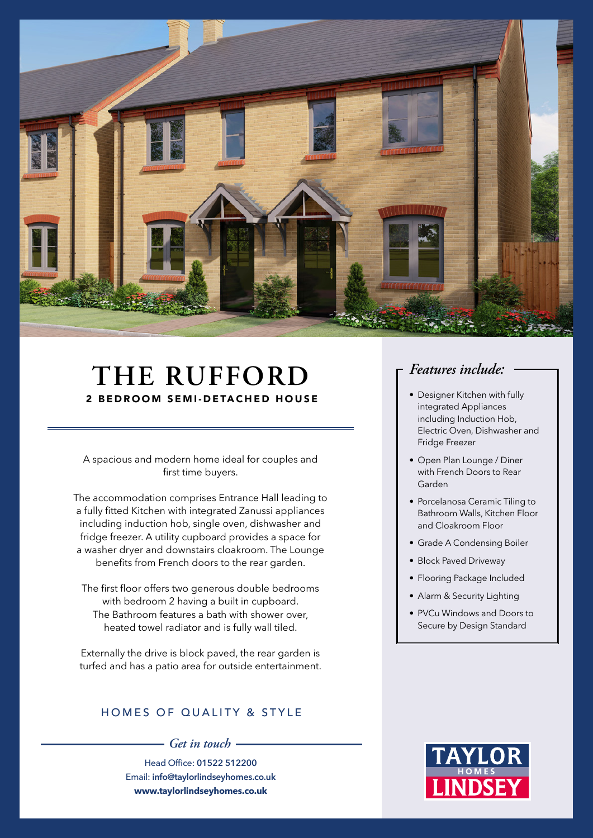

## **THE RUFFORD** 2 BEDROOM SEMI-DETACHED HOUSE

A spacious and modern home ideal for couples and first time buyers.

The accommodation comprises Entrance Hall leading to a fully fitted Kitchen with integrated Zanussi appliances including induction hob, single oven, dishwasher and fridge freezer. A utility cupboard provides a space for a washer dryer and downstairs cloakroom. The Lounge benefits from French doors to the rear garden.

The first floor offers two generous double bedrooms with bedroom 2 having a built in cupboard. The Bathroom features a bath with shower over, heated towel radiator and is fully wall tiled.

Externally the drive is block paved, the rear garden is turfed and has a patio area for outside entertainment.

#### HOMES OF QUALITY & STYLE

*Get in touch*

Head Office: **01522 512200** Email: **info@taylorlindseyhomes.co.uk www.taylorlindseyhomes.co.uk**

### *Features include:*

- Designer Kitchen with fully integrated Appliances including Induction Hob, Electric Oven, Dishwasher and Fridge Freezer
- Open Plan Lounge / Diner with French Doors to Rear Garden
- Porcelanosa Ceramic Tiling to Bathroom Walls, Kitchen Floor and Cloakroom Floor
- Grade A Condensing Boiler
- Block Paved Driveway
- Flooring Package Included
- Alarm & Security Lighting
- PVCu Windows and Doors to Secure by Design Standard